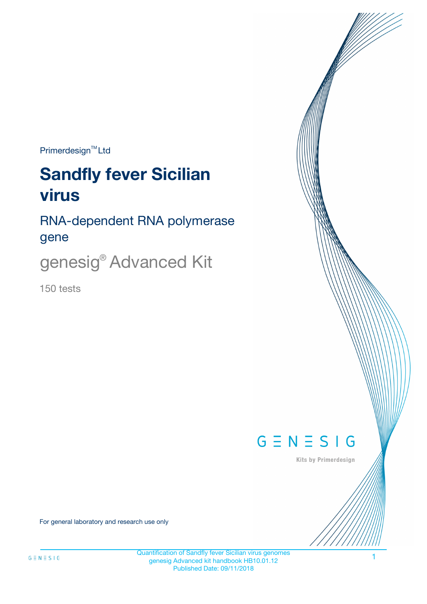$Primerdesign^{\text{TM}}Ltd$ 

# **Sandfly fever Sicilian virus**

RNA-dependent RNA polymerase gene

genesig® Advanced Kit

150 tests



Kits by Primerdesign

For general laboratory and research use only

Quantification of Sandfly fever Sicilian virus genomes genesig Advanced kit handbook HB10.01.12 Published Date: 09/11/2018

1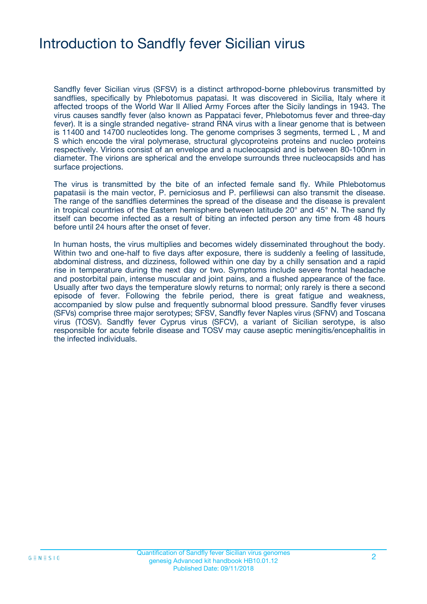### Introduction to Sandfly fever Sicilian virus

Sandfly fever Sicilian virus (SFSV) is a distinct arthropod-borne phlebovirus transmitted by sandflies, specifically by Phlebotomus papatasi. It was discovered in Sicilia, Italy where it affected troops of the World War II Allied Army Forces after the Sicily landings in 1943. The virus causes sandfly fever (also known as Pappataci fever, Phlebotomus fever and three-day fever). It is a single stranded negative- strand RNA virus with a linear genome that is between is 11400 and 14700 nucleotides long. The genome comprises 3 segments, termed L , M and S which encode the viral polymerase, structural glycoproteins proteins and nucleo proteins respectively. Virions consist of an envelope and a nucleocapsid and is between 80-100nm in diameter. The virions are spherical and the envelope surrounds three nucleocapsids and has surface projections.

The virus is transmitted by the bite of an infected female sand fly. While Phlebotomus papatasii is the main vector, P. perniciosus and P. perfiliewsi can also transmit the disease. The range of the sandflies determines the spread of the disease and the disease is prevalent in tropical countries of the Eastern hemisphere between latitude 20° and 45° N. The sand fly itself can become infected as a result of biting an infected person any time from 48 hours before until 24 hours after the onset of fever.

In human hosts, the virus multiplies and becomes widely disseminated throughout the body. Within two and one-half to five days after exposure, there is suddenly a feeling of lassitude, abdominal distress, and dizziness, followed within one day by a chilly sensation and a rapid rise in temperature during the next day or two. Symptoms include severe frontal headache and postorbital pain, intense muscular and joint pains, and a flushed appearance of the face. Usually after two days the temperature slowly returns to normal; only rarely is there a second episode of fever. Following the febrile period, there is great fatigue and weakness, accompanied by slow pulse and frequently subnormal blood pressure. Sandfly fever viruses (SFVs) comprise three major serotypes; SFSV, Sandfly fever Naples virus (SFNV) and Toscana virus (TOSV). Sandfly fever Cyprus virus (SFCV), a variant of Sicilian serotype, is also responsible for acute febrile disease and TOSV may cause aseptic meningitis/encephalitis in the infected individuals.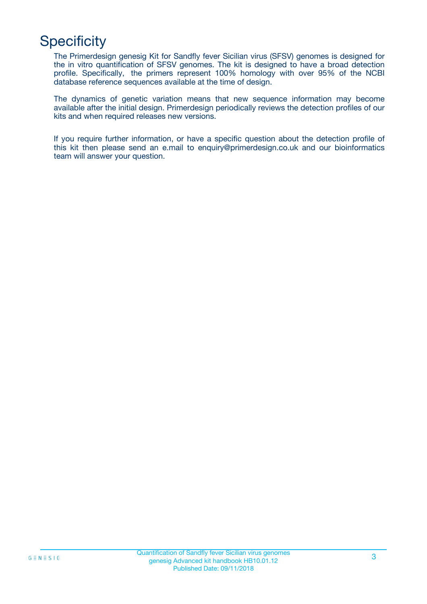## **Specificity**

The Primerdesign genesig Kit for Sandfly fever Sicilian virus (SFSV) genomes is designed for the in vitro quantification of SFSV genomes. The kit is designed to have a broad detection profile. Specifically, the primers represent 100% homology with over 95% of the NCBI database reference sequences available at the time of design.

The dynamics of genetic variation means that new sequence information may become available after the initial design. Primerdesign periodically reviews the detection profiles of our kits and when required releases new versions.

If you require further information, or have a specific question about the detection profile of this kit then please send an e.mail to enquiry@primerdesign.co.uk and our bioinformatics team will answer your question.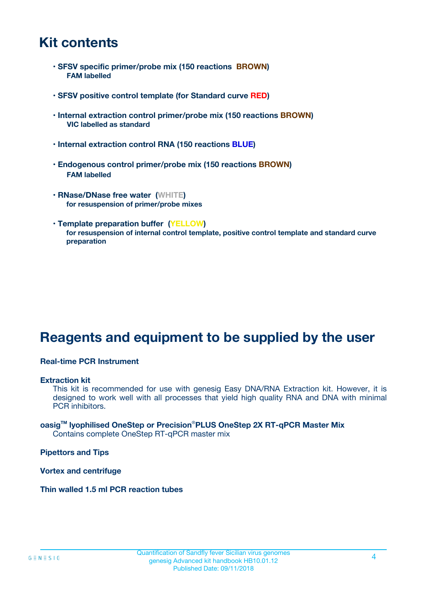### **Kit contents**

- **SFSV specific primer/probe mix (150 reactions BROWN) FAM labelled**
- **SFSV positive control template (for Standard curve RED)**
- **Internal extraction control primer/probe mix (150 reactions BROWN) VIC labelled as standard**
- **Internal extraction control RNA (150 reactions BLUE)**
- **Endogenous control primer/probe mix (150 reactions BROWN) FAM labelled**
- **RNase/DNase free water (WHITE) for resuspension of primer/probe mixes**
- **Template preparation buffer (YELLOW) for resuspension of internal control template, positive control template and standard curve preparation**

### **Reagents and equipment to be supplied by the user**

#### **Real-time PCR Instrument**

#### **Extraction kit**

This kit is recommended for use with genesig Easy DNA/RNA Extraction kit. However, it is designed to work well with all processes that yield high quality RNA and DNA with minimal PCR inhibitors.

#### **oasigTM lyophilised OneStep or Precision**®**PLUS OneStep 2X RT-qPCR Master Mix** Contains complete OneStep RT-qPCR master mix

**Pipettors and Tips**

**Vortex and centrifuge**

**Thin walled 1.5 ml PCR reaction tubes**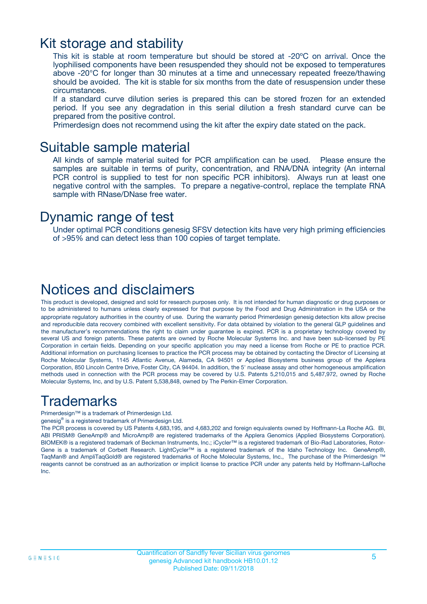### Kit storage and stability

This kit is stable at room temperature but should be stored at -20ºC on arrival. Once the lyophilised components have been resuspended they should not be exposed to temperatures above -20°C for longer than 30 minutes at a time and unnecessary repeated freeze/thawing should be avoided. The kit is stable for six months from the date of resuspension under these circumstances.

If a standard curve dilution series is prepared this can be stored frozen for an extended period. If you see any degradation in this serial dilution a fresh standard curve can be prepared from the positive control.

Primerdesign does not recommend using the kit after the expiry date stated on the pack.

### Suitable sample material

All kinds of sample material suited for PCR amplification can be used. Please ensure the samples are suitable in terms of purity, concentration, and RNA/DNA integrity (An internal PCR control is supplied to test for non specific PCR inhibitors). Always run at least one negative control with the samples. To prepare a negative-control, replace the template RNA sample with RNase/DNase free water.

### Dynamic range of test

Under optimal PCR conditions genesig SFSV detection kits have very high priming efficiencies of >95% and can detect less than 100 copies of target template.

### Notices and disclaimers

This product is developed, designed and sold for research purposes only. It is not intended for human diagnostic or drug purposes or to be administered to humans unless clearly expressed for that purpose by the Food and Drug Administration in the USA or the appropriate regulatory authorities in the country of use. During the warranty period Primerdesign genesig detection kits allow precise and reproducible data recovery combined with excellent sensitivity. For data obtained by violation to the general GLP guidelines and the manufacturer's recommendations the right to claim under guarantee is expired. PCR is a proprietary technology covered by several US and foreign patents. These patents are owned by Roche Molecular Systems Inc. and have been sub-licensed by PE Corporation in certain fields. Depending on your specific application you may need a license from Roche or PE to practice PCR. Additional information on purchasing licenses to practice the PCR process may be obtained by contacting the Director of Licensing at Roche Molecular Systems, 1145 Atlantic Avenue, Alameda, CA 94501 or Applied Biosystems business group of the Applera Corporation, 850 Lincoln Centre Drive, Foster City, CA 94404. In addition, the 5' nuclease assay and other homogeneous amplification methods used in connection with the PCR process may be covered by U.S. Patents 5,210,015 and 5,487,972, owned by Roche Molecular Systems, Inc, and by U.S. Patent 5,538,848, owned by The Perkin-Elmer Corporation.

### Trademarks

Primerdesign™ is a trademark of Primerdesign Ltd.

genesig® is a registered trademark of Primerdesign Ltd.

The PCR process is covered by US Patents 4,683,195, and 4,683,202 and foreign equivalents owned by Hoffmann-La Roche AG. BI, ABI PRISM® GeneAmp® and MicroAmp® are registered trademarks of the Applera Genomics (Applied Biosystems Corporation). BIOMEK® is a registered trademark of Beckman Instruments, Inc.; iCycler™ is a registered trademark of Bio-Rad Laboratories, Rotor-Gene is a trademark of Corbett Research. LightCycler™ is a registered trademark of the Idaho Technology Inc. GeneAmp®, TaqMan® and AmpliTaqGold® are registered trademarks of Roche Molecular Systems, Inc., The purchase of the Primerdesign ™ reagents cannot be construed as an authorization or implicit license to practice PCR under any patents held by Hoffmann-LaRoche Inc.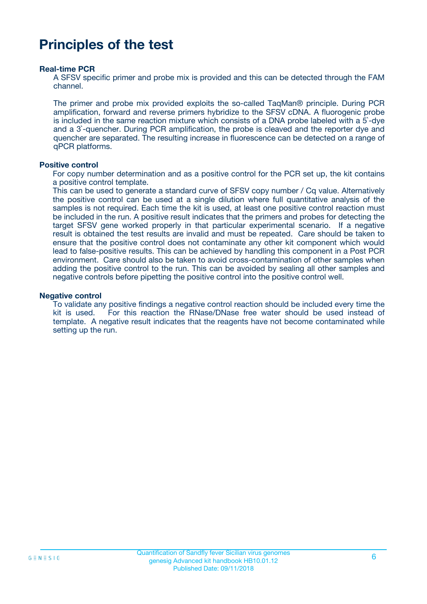### **Principles of the test**

#### **Real-time PCR**

A SFSV specific primer and probe mix is provided and this can be detected through the FAM channel.

The primer and probe mix provided exploits the so-called TaqMan® principle. During PCR amplification, forward and reverse primers hybridize to the SFSV cDNA. A fluorogenic probe is included in the same reaction mixture which consists of a DNA probe labeled with a 5`-dye and a 3`-quencher. During PCR amplification, the probe is cleaved and the reporter dye and quencher are separated. The resulting increase in fluorescence can be detected on a range of qPCR platforms.

#### **Positive control**

For copy number determination and as a positive control for the PCR set up, the kit contains a positive control template.

This can be used to generate a standard curve of SFSV copy number / Cq value. Alternatively the positive control can be used at a single dilution where full quantitative analysis of the samples is not required. Each time the kit is used, at least one positive control reaction must be included in the run. A positive result indicates that the primers and probes for detecting the target SFSV gene worked properly in that particular experimental scenario. If a negative result is obtained the test results are invalid and must be repeated. Care should be taken to ensure that the positive control does not contaminate any other kit component which would lead to false-positive results. This can be achieved by handling this component in a Post PCR environment. Care should also be taken to avoid cross-contamination of other samples when adding the positive control to the run. This can be avoided by sealing all other samples and negative controls before pipetting the positive control into the positive control well.

#### **Negative control**

To validate any positive findings a negative control reaction should be included every time the kit is used. For this reaction the RNase/DNase free water should be used instead of template. A negative result indicates that the reagents have not become contaminated while setting up the run.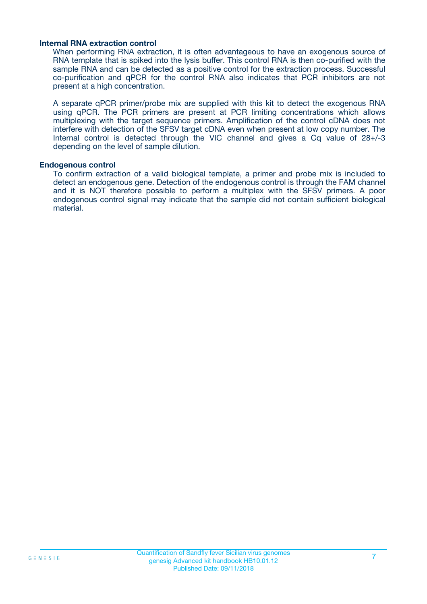#### **Internal RNA extraction control**

When performing RNA extraction, it is often advantageous to have an exogenous source of RNA template that is spiked into the lysis buffer. This control RNA is then co-purified with the sample RNA and can be detected as a positive control for the extraction process. Successful co-purification and qPCR for the control RNA also indicates that PCR inhibitors are not present at a high concentration.

A separate qPCR primer/probe mix are supplied with this kit to detect the exogenous RNA using qPCR. The PCR primers are present at PCR limiting concentrations which allows multiplexing with the target sequence primers. Amplification of the control cDNA does not interfere with detection of the SFSV target cDNA even when present at low copy number. The Internal control is detected through the VIC channel and gives a Cq value of 28+/-3 depending on the level of sample dilution.

#### **Endogenous control**

To confirm extraction of a valid biological template, a primer and probe mix is included to detect an endogenous gene. Detection of the endogenous control is through the FAM channel and it is NOT therefore possible to perform a multiplex with the SFSV primers. A poor endogenous control signal may indicate that the sample did not contain sufficient biological material.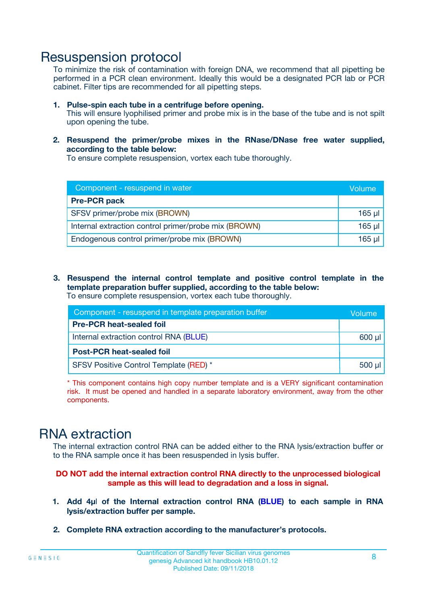### Resuspension protocol

To minimize the risk of contamination with foreign DNA, we recommend that all pipetting be performed in a PCR clean environment. Ideally this would be a designated PCR lab or PCR cabinet. Filter tips are recommended for all pipetting steps.

- **1. Pulse-spin each tube in a centrifuge before opening.** This will ensure lyophilised primer and probe mix is in the base of the tube and is not spilt upon opening the tube.
- **2. Resuspend the primer/probe mixes in the RNase/DNase free water supplied, according to the table below:**

To ensure complete resuspension, vortex each tube thoroughly.

| Component - resuspend in water                       |          |  |
|------------------------------------------------------|----------|--|
| <b>Pre-PCR pack</b>                                  |          |  |
| SFSV primer/probe mix (BROWN)                        | $165$ µl |  |
| Internal extraction control primer/probe mix (BROWN) | $165$ µl |  |
| Endogenous control primer/probe mix (BROWN)          | 165 µl   |  |

**3. Resuspend the internal control template and positive control template in the template preparation buffer supplied, according to the table below:** To ensure complete resuspension, vortex each tube thoroughly.

| Component - resuspend in template preparation buffer |          |  |  |
|------------------------------------------------------|----------|--|--|
| <b>Pre-PCR heat-sealed foil</b>                      |          |  |  |
| Internal extraction control RNA (BLUE)               |          |  |  |
| <b>Post-PCR heat-sealed foil</b>                     |          |  |  |
| SFSV Positive Control Template (RED) *               | $500$ µl |  |  |

\* This component contains high copy number template and is a VERY significant contamination risk. It must be opened and handled in a separate laboratory environment, away from the other components.

### RNA extraction

The internal extraction control RNA can be added either to the RNA lysis/extraction buffer or to the RNA sample once it has been resuspended in lysis buffer.

#### **DO NOT add the internal extraction control RNA directly to the unprocessed biological sample as this will lead to degradation and a loss in signal.**

- **1. Add 4µ**l **of the Internal extraction control RNA (BLUE) to each sample in RNA lysis/extraction buffer per sample.**
- **2. Complete RNA extraction according to the manufacturer's protocols.**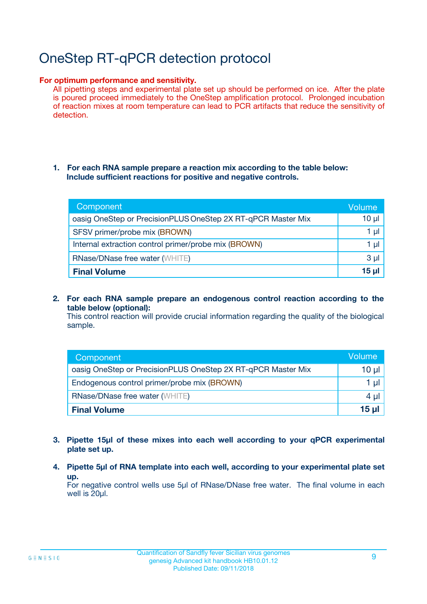# OneStep RT-qPCR detection protocol

#### **For optimum performance and sensitivity.**

All pipetting steps and experimental plate set up should be performed on ice. After the plate is poured proceed immediately to the OneStep amplification protocol. Prolonged incubation of reaction mixes at room temperature can lead to PCR artifacts that reduce the sensitivity of detection.

#### **1. For each RNA sample prepare a reaction mix according to the table below: Include sufficient reactions for positive and negative controls.**

| Component                                                    | <b>Volume</b> |
|--------------------------------------------------------------|---------------|
| oasig OneStep or PrecisionPLUS OneStep 2X RT-qPCR Master Mix | $10 \mu$      |
| SFSV primer/probe mix (BROWN)                                | 1 µI          |
| Internal extraction control primer/probe mix (BROWN)         | 1 µI          |
| <b>RNase/DNase free water (WHITE)</b>                        | $3 \mu$       |
| <b>Final Volume</b>                                          | 15 µl         |

**2. For each RNA sample prepare an endogenous control reaction according to the table below (optional):**

This control reaction will provide crucial information regarding the quality of the biological sample.

| Component                                                    | Volume   |
|--------------------------------------------------------------|----------|
| oasig OneStep or PrecisionPLUS OneStep 2X RT-qPCR Master Mix | 10 $\mu$ |
| Endogenous control primer/probe mix (BROWN)                  | 1 ul     |
| <b>RNase/DNase free water (WHITE)</b>                        | $4 \mu$  |
| <b>Final Volume</b>                                          | 15 µl    |

- **3. Pipette 15µl of these mixes into each well according to your qPCR experimental plate set up.**
- **4. Pipette 5µl of RNA template into each well, according to your experimental plate set up.**

For negative control wells use 5µl of RNase/DNase free water. The final volume in each well is 20µl.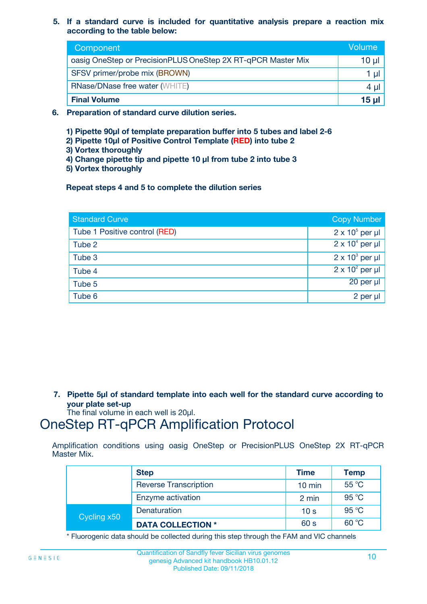**5. If a standard curve is included for quantitative analysis prepare a reaction mix according to the table below:**

| Component                                                    | Volume       |
|--------------------------------------------------------------|--------------|
| oasig OneStep or PrecisionPLUS OneStep 2X RT-qPCR Master Mix | $10 \mu$     |
| SFSV primer/probe mix (BROWN)                                |              |
| <b>RNase/DNase free water (WHITE)</b>                        | 4 U          |
| <b>Final Volume</b>                                          | <u>15 µl</u> |

- **6. Preparation of standard curve dilution series.**
	- **1) Pipette 90µl of template preparation buffer into 5 tubes and label 2-6**
	- **2) Pipette 10µl of Positive Control Template (RED) into tube 2**
	- **3) Vortex thoroughly**
	- **4) Change pipette tip and pipette 10 µl from tube 2 into tube 3**
	- **5) Vortex thoroughly**

**Repeat steps 4 and 5 to complete the dilution series**

| <b>Standard Curve</b>         | <b>Copy Number</b>     |
|-------------------------------|------------------------|
| Tube 1 Positive control (RED) | $2 \times 10^5$ per µl |
| Tube 2                        | $2 \times 10^4$ per µl |
| Tube 3                        | $2 \times 10^3$ per µl |
| Tube 4                        | $2 \times 10^2$ per µl |
| Tube 5                        | 20 per µl              |
| Tube 6                        | 2 per µl               |

**7. Pipette 5µl of standard template into each well for the standard curve according to your plate set-up**

The final volume in each well is 20µl.

### OneStep RT-qPCR Amplification Protocol

Amplification conditions using oasig OneStep or PrecisionPLUS OneStep 2X RT-qPCR Master Mix.

|             | <b>Step</b>                  | <b>Time</b>      | Temp  |
|-------------|------------------------------|------------------|-------|
|             | <b>Reverse Transcription</b> | $10 \text{ min}$ | 55 °C |
|             | Enzyme activation            | 2 min            | 95 °C |
| Cycling x50 | Denaturation                 | 10 <sub>s</sub>  | 95 °C |
|             | <b>DATA COLLECTION *</b>     | 60 s             | 60 °C |

\* Fluorogenic data should be collected during this step through the FAM and VIC channels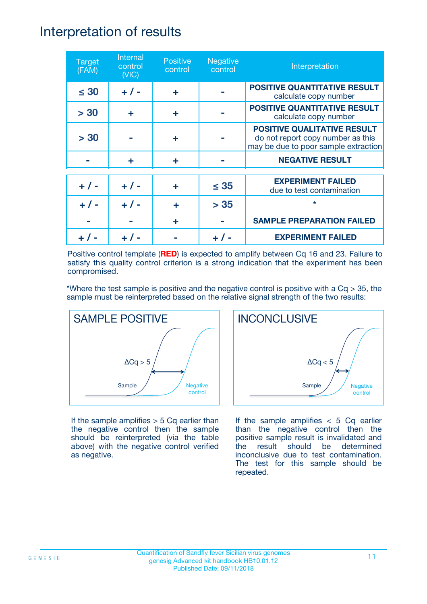### Interpretation of results

| <b>Target</b><br>(FAM) | Internal<br>control<br>(NIC) | <b>Positive</b><br>control | <b>Negative</b><br>control | Interpretation                                                                                                  |
|------------------------|------------------------------|----------------------------|----------------------------|-----------------------------------------------------------------------------------------------------------------|
| $\leq 30$              | $+ 1 -$                      | ÷                          |                            | <b>POSITIVE QUANTITATIVE RESULT</b><br>calculate copy number                                                    |
| > 30                   | ÷                            | ÷                          |                            | <b>POSITIVE QUANTITATIVE RESULT</b><br>calculate copy number                                                    |
| > 30                   |                              | ÷                          |                            | <b>POSITIVE QUALITATIVE RESULT</b><br>do not report copy number as this<br>may be due to poor sample extraction |
|                        | ÷                            | ÷                          |                            | <b>NEGATIVE RESULT</b>                                                                                          |
| $+ 1 -$                | $+ 1 -$                      | ÷                          | $\leq$ 35                  | <b>EXPERIMENT FAILED</b><br>due to test contamination                                                           |
|                        | $+$ / -                      |                            | > 35                       | $\star$                                                                                                         |
|                        |                              | ÷                          |                            | <b>SAMPLE PREPARATION FAILED</b>                                                                                |
|                        |                              |                            |                            | <b>EXPERIMENT FAILED</b>                                                                                        |

Positive control template (**RED**) is expected to amplify between Cq 16 and 23. Failure to satisfy this quality control criterion is a strong indication that the experiment has been compromised.

\*Where the test sample is positive and the negative control is positive with a  $Cq > 35$ , the sample must be reinterpreted based on the relative signal strength of the two results:



If the sample amplifies  $> 5$  Cq earlier than the negative control then the sample should be reinterpreted (via the table above) with the negative control verified as negative.



If the sample amplifies  $< 5$  Cq earlier than the negative control then the positive sample result is invalidated and the result should be determined inconclusive due to test contamination. The test for this sample should be repeated.